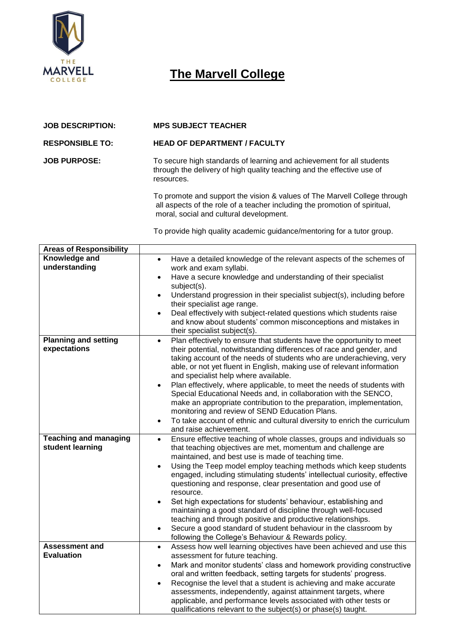

## **The Marvell College**

| <b>JOB DESCRIPTION:</b> | <b>MPS SUBJECT TEACHER</b>                                                                                                                                    |  |  |  |
|-------------------------|---------------------------------------------------------------------------------------------------------------------------------------------------------------|--|--|--|
| <b>RESPONSIBLE TO:</b>  | <b>HEAD OF DEPARTMENT / FACULTY</b>                                                                                                                           |  |  |  |
| <b>JOB PURPOSE:</b>     | To secure high standards of learning and achievement for all students<br>through the delivery of high quality teaching and the effective use of<br>resources. |  |  |  |
|                         | To promote and support the vision & values of The Marvell College through<br>all aspects of the role of a teacher including the promotion of spiritual,       |  |  |  |

moral, social and cultural development.

To provide high quality academic guidance/mentoring for a tutor group.

| <b>Areas of Responsibility</b> |                                                                                                                                              |  |  |  |  |  |
|--------------------------------|----------------------------------------------------------------------------------------------------------------------------------------------|--|--|--|--|--|
| Knowledge and                  | Have a detailed knowledge of the relevant aspects of the schemes of<br>$\bullet$                                                             |  |  |  |  |  |
| understanding                  | work and exam syllabi.                                                                                                                       |  |  |  |  |  |
|                                | Have a secure knowledge and understanding of their specialist<br>$\bullet$                                                                   |  |  |  |  |  |
|                                | subject(s).                                                                                                                                  |  |  |  |  |  |
|                                | Understand progression in their specialist subject(s), including before<br>$\bullet$                                                         |  |  |  |  |  |
|                                | their specialist age range.                                                                                                                  |  |  |  |  |  |
|                                | Deal effectively with subject-related questions which students raise<br>$\bullet$                                                            |  |  |  |  |  |
|                                | and know about students' common misconceptions and mistakes in                                                                               |  |  |  |  |  |
|                                | their specialist subject(s).                                                                                                                 |  |  |  |  |  |
| <b>Planning and setting</b>    | Plan effectively to ensure that students have the opportunity to meet<br>$\bullet$                                                           |  |  |  |  |  |
| expectations                   |                                                                                                                                              |  |  |  |  |  |
|                                | their potential, notwithstanding differences of race and gender, and<br>taking account of the needs of students who are underachieving, very |  |  |  |  |  |
|                                | able, or not yet fluent in English, making use of relevant information                                                                       |  |  |  |  |  |
|                                |                                                                                                                                              |  |  |  |  |  |
|                                | and specialist help where available.<br>Plan effectively, where applicable, to meet the needs of students with                               |  |  |  |  |  |
|                                | Special Educational Needs and, in collaboration with the SENCO,                                                                              |  |  |  |  |  |
|                                | make an appropriate contribution to the preparation, implementation,                                                                         |  |  |  |  |  |
|                                | monitoring and review of SEND Education Plans.                                                                                               |  |  |  |  |  |
|                                | To take account of ethnic and cultural diversity to enrich the curriculum<br>$\bullet$                                                       |  |  |  |  |  |
|                                | and raise achievement.                                                                                                                       |  |  |  |  |  |
| <b>Teaching and managing</b>   |                                                                                                                                              |  |  |  |  |  |
| student learning               | Ensure effective teaching of whole classes, groups and individuals so<br>$\bullet$                                                           |  |  |  |  |  |
|                                | that teaching objectives are met, momentum and challenge are<br>maintained, and best use is made of teaching time.                           |  |  |  |  |  |
|                                |                                                                                                                                              |  |  |  |  |  |
|                                | Using the Teep model employ teaching methods which keep students<br>$\bullet$                                                                |  |  |  |  |  |
|                                | engaged, including stimulating students' intellectual curiosity, effective<br>questioning and response, clear presentation and good use of   |  |  |  |  |  |
|                                | resource.                                                                                                                                    |  |  |  |  |  |
|                                | Set high expectations for students' behaviour, establishing and<br>$\bullet$                                                                 |  |  |  |  |  |
|                                | maintaining a good standard of discipline through well-focused                                                                               |  |  |  |  |  |
|                                | teaching and through positive and productive relationships.                                                                                  |  |  |  |  |  |
|                                | Secure a good standard of student behaviour in the classroom by<br>$\bullet$                                                                 |  |  |  |  |  |
|                                | following the College's Behaviour & Rewards policy.                                                                                          |  |  |  |  |  |
| <b>Assessment and</b>          | Assess how well learning objectives have been achieved and use this<br>$\bullet$                                                             |  |  |  |  |  |
| <b>Evaluation</b>              | assessment for future teaching.                                                                                                              |  |  |  |  |  |
|                                | Mark and monitor students' class and homework providing constructive<br>$\bullet$                                                            |  |  |  |  |  |
|                                | oral and written feedback, setting targets for students' progress.                                                                           |  |  |  |  |  |
|                                | Recognise the level that a student is achieving and make accurate                                                                            |  |  |  |  |  |
|                                | $\bullet$                                                                                                                                    |  |  |  |  |  |
|                                | assessments, independently, against attainment targets, where                                                                                |  |  |  |  |  |
|                                | applicable, and performance levels associated with other tests or                                                                            |  |  |  |  |  |
|                                | qualifications relevant to the subject(s) or phase(s) taught.                                                                                |  |  |  |  |  |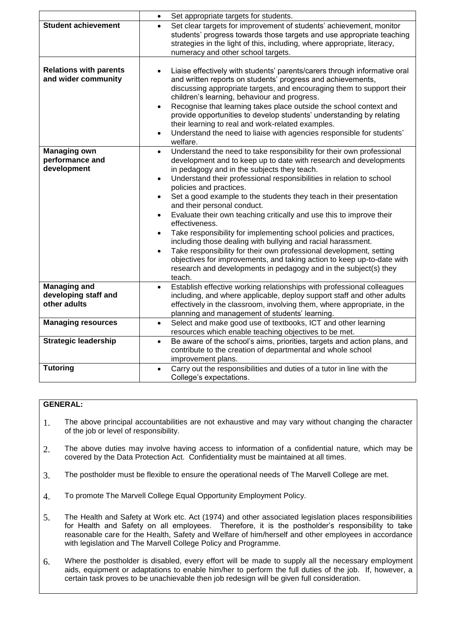|                                                             | Set appropriate targets for students.<br>$\bullet$                                                                                                                                                                                                                                                                                                                                                                                                                                                                                                                                                                                                                                                                                                                                                                                                                                                                     |
|-------------------------------------------------------------|------------------------------------------------------------------------------------------------------------------------------------------------------------------------------------------------------------------------------------------------------------------------------------------------------------------------------------------------------------------------------------------------------------------------------------------------------------------------------------------------------------------------------------------------------------------------------------------------------------------------------------------------------------------------------------------------------------------------------------------------------------------------------------------------------------------------------------------------------------------------------------------------------------------------|
| <b>Student achievement</b>                                  | Set clear targets for improvement of students' achievement, monitor<br>students' progress towards those targets and use appropriate teaching<br>strategies in the light of this, including, where appropriate, literacy,<br>numeracy and other school targets.                                                                                                                                                                                                                                                                                                                                                                                                                                                                                                                                                                                                                                                         |
| <b>Relations with parents</b><br>and wider community        | Liaise effectively with students' parents/carers through informative oral<br>and written reports on students' progress and achievements,<br>discussing appropriate targets, and encouraging them to support their<br>children's learning, behaviour and progress.<br>Recognise that learning takes place outside the school context and<br>$\bullet$<br>provide opportunities to develop students' understanding by relating<br>their learning to real and work-related examples.<br>Understand the need to liaise with agencies responsible for students'<br>$\bullet$<br>welfare.                                                                                                                                                                                                                                                                                                                                    |
| <b>Managing own</b><br>performance and<br>development       | Understand the need to take responsibility for their own professional<br>$\bullet$<br>development and to keep up to date with research and developments<br>in pedagogy and in the subjects they teach.<br>Understand their professional responsibilities in relation to school<br>policies and practices.<br>Set a good example to the students they teach in their presentation<br>$\bullet$<br>and their personal conduct.<br>Evaluate their own teaching critically and use this to improve their<br>effectiveness.<br>Take responsibility for implementing school policies and practices,<br>$\bullet$<br>including those dealing with bullying and racial harassment.<br>Take responsibility for their own professional development, setting<br>$\bullet$<br>objectives for improvements, and taking action to keep up-to-date with<br>research and developments in pedagogy and in the subject(s) they<br>teach. |
| <b>Managing and</b><br>developing staff and<br>other adults | Establish effective working relationships with professional colleagues<br>$\bullet$<br>including, and where applicable, deploy support staff and other adults<br>effectively in the classroom, involving them, where appropriate, in the<br>planning and management of students' learning.                                                                                                                                                                                                                                                                                                                                                                                                                                                                                                                                                                                                                             |
| <b>Managing resources</b>                                   | Select and make good use of textbooks, ICT and other learning<br>$\bullet$<br>resources which enable teaching objectives to be met.                                                                                                                                                                                                                                                                                                                                                                                                                                                                                                                                                                                                                                                                                                                                                                                    |
| <b>Strategic leadership</b>                                 | Be aware of the school's aims, priorities, targets and action plans, and<br>$\bullet$<br>contribute to the creation of departmental and whole school<br>improvement plans.                                                                                                                                                                                                                                                                                                                                                                                                                                                                                                                                                                                                                                                                                                                                             |
| <b>Tutoring</b>                                             | Carry out the responsibilities and duties of a tutor in line with the<br>$\bullet$<br>College's expectations.                                                                                                                                                                                                                                                                                                                                                                                                                                                                                                                                                                                                                                                                                                                                                                                                          |

## **GENERAL:**

- 1. The above principal accountabilities are not exhaustive and may vary without changing the character of the job or level of responsibility.
- 2. The above duties may involve having access to information of a confidential nature, which may be covered by the Data Protection Act. Confidentiality must be maintained at all times.
- 3. The postholder must be flexible to ensure the operational needs of The Marvell College are met.
- 4. To promote The Marvell College Equal Opportunity Employment Policy.
- 5. The Health and Safety at Work etc. Act (1974) and other associated legislation places responsibilities for Health and Safety on all employees. Therefore, it is the postholder's responsibility to take reasonable care for the Health, Safety and Welfare of him/herself and other employees in accordance with legislation and The Marvell College Policy and Programme.
- 6. Where the postholder is disabled, every effort will be made to supply all the necessary employment aids, equipment or adaptations to enable him/her to perform the full duties of the job. If, however, a certain task proves to be unachievable then job redesign will be given full consideration.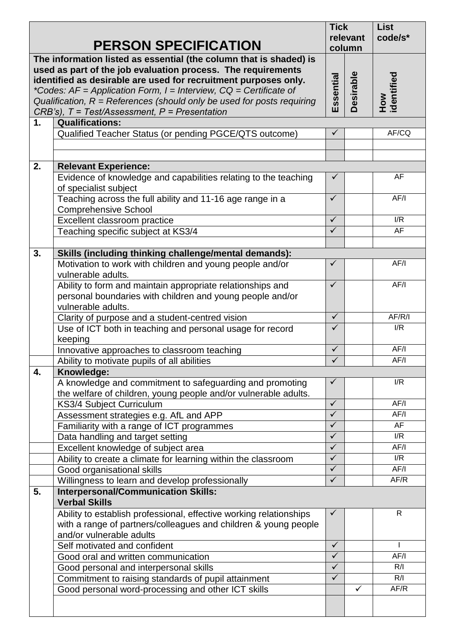| <b>PERSON SPECIFICATION</b>                                                                                                                                                                                                                                                                                                                                                                                           |                                                                                                                                                                   | <b>Tick</b><br>relevant<br>column |                  | <b>List</b><br>code/s* |
|-----------------------------------------------------------------------------------------------------------------------------------------------------------------------------------------------------------------------------------------------------------------------------------------------------------------------------------------------------------------------------------------------------------------------|-------------------------------------------------------------------------------------------------------------------------------------------------------------------|-----------------------------------|------------------|------------------------|
| The information listed as essential (the column that is shaded) is<br>used as part of the job evaluation process. The requirements<br>identified as desirable are used for recruitment purposes only.<br>*Codes: $AF = Application Form$ , $I = Interview$ , $CQ = Certificance$ of<br>Qualification, $R =$ References (should only be used for posts requiring<br>$CRB's$ ), $T = Test/Assessment, P = Presentation$ |                                                                                                                                                                   |                                   | <b>Desirable</b> | How<br>identified      |
| 1.                                                                                                                                                                                                                                                                                                                                                                                                                    | <b>Qualifications:</b>                                                                                                                                            |                                   |                  |                        |
|                                                                                                                                                                                                                                                                                                                                                                                                                       | Qualified Teacher Status (or pending PGCE/QTS outcome)                                                                                                            | $\checkmark$                      |                  | AF/CQ                  |
|                                                                                                                                                                                                                                                                                                                                                                                                                       |                                                                                                                                                                   |                                   |                  |                        |
| 2.                                                                                                                                                                                                                                                                                                                                                                                                                    | <b>Relevant Experience:</b>                                                                                                                                       |                                   |                  |                        |
|                                                                                                                                                                                                                                                                                                                                                                                                                       | Evidence of knowledge and capabilities relating to the teaching<br>of specialist subject                                                                          | $\checkmark$                      |                  | AF                     |
|                                                                                                                                                                                                                                                                                                                                                                                                                       | Teaching across the full ability and 11-16 age range in a<br><b>Comprehensive School</b>                                                                          | $\checkmark$                      |                  | AF/I                   |
|                                                                                                                                                                                                                                                                                                                                                                                                                       | Excellent classroom practice                                                                                                                                      | $\checkmark$                      |                  | I/R                    |
|                                                                                                                                                                                                                                                                                                                                                                                                                       | Teaching specific subject at KS3/4                                                                                                                                | $\checkmark$                      |                  | AF                     |
|                                                                                                                                                                                                                                                                                                                                                                                                                       |                                                                                                                                                                   |                                   |                  |                        |
| 3.                                                                                                                                                                                                                                                                                                                                                                                                                    | Skills (including thinking challenge/mental demands):                                                                                                             |                                   |                  |                        |
|                                                                                                                                                                                                                                                                                                                                                                                                                       | Motivation to work with children and young people and/or<br>vulnerable adults.                                                                                    | ✓                                 |                  | AF/I                   |
|                                                                                                                                                                                                                                                                                                                                                                                                                       | Ability to form and maintain appropriate relationships and<br>personal boundaries with children and young people and/or<br>vulnerable adults.                     | $\checkmark$                      |                  | AF/I                   |
|                                                                                                                                                                                                                                                                                                                                                                                                                       | Clarity of purpose and a student-centred vision                                                                                                                   | $\checkmark$                      |                  | AF/R/I                 |
|                                                                                                                                                                                                                                                                                                                                                                                                                       | Use of ICT both in teaching and personal usage for record<br>keeping                                                                                              | ✓                                 |                  | I/R                    |
|                                                                                                                                                                                                                                                                                                                                                                                                                       | Innovative approaches to classroom teaching                                                                                                                       | $\checkmark$                      |                  | AF/I                   |
|                                                                                                                                                                                                                                                                                                                                                                                                                       | Ability to motivate pupils of all abilities                                                                                                                       | $\checkmark$                      |                  | AF/I                   |
| 4.                                                                                                                                                                                                                                                                                                                                                                                                                    | Knowledge:                                                                                                                                                        |                                   |                  |                        |
|                                                                                                                                                                                                                                                                                                                                                                                                                       | A knowledge and commitment to safeguarding and promoting<br>the welfare of children, young people and/or vulnerable adults.                                       | ✓                                 |                  | I/R                    |
|                                                                                                                                                                                                                                                                                                                                                                                                                       | <b>KS3/4 Subject Curriculum</b>                                                                                                                                   | $\checkmark$                      |                  | AF/I                   |
|                                                                                                                                                                                                                                                                                                                                                                                                                       | Assessment strategies e.g. AfL and APP                                                                                                                            | $\checkmark$                      |                  | AF/I                   |
|                                                                                                                                                                                                                                                                                                                                                                                                                       | Familiarity with a range of ICT programmes                                                                                                                        | $\checkmark$<br>$\checkmark$      |                  | AF<br>I/R              |
|                                                                                                                                                                                                                                                                                                                                                                                                                       | Data handling and target setting                                                                                                                                  | $\checkmark$                      |                  | AF/I                   |
|                                                                                                                                                                                                                                                                                                                                                                                                                       | Excellent knowledge of subject area<br>Ability to create a climate for learning within the classroom                                                              | $\checkmark$                      |                  | I/R                    |
|                                                                                                                                                                                                                                                                                                                                                                                                                       | Good organisational skills                                                                                                                                        | $\checkmark$                      |                  | AF/I                   |
|                                                                                                                                                                                                                                                                                                                                                                                                                       | Willingness to learn and develop professionally                                                                                                                   | $\checkmark$                      |                  | AF/R                   |
| 5.                                                                                                                                                                                                                                                                                                                                                                                                                    | <b>Interpersonal/Communication Skills:</b><br><b>Verbal Skills</b>                                                                                                |                                   |                  |                        |
|                                                                                                                                                                                                                                                                                                                                                                                                                       | Ability to establish professional, effective working relationships<br>with a range of partners/colleagues and children & young people<br>and/or vulnerable adults | $\checkmark$                      |                  | $\mathsf{R}$           |
|                                                                                                                                                                                                                                                                                                                                                                                                                       | Self motivated and confident                                                                                                                                      | $\checkmark$                      |                  | $\mathbf{I}$           |
|                                                                                                                                                                                                                                                                                                                                                                                                                       | Good oral and written communication                                                                                                                               | $\checkmark$                      |                  | AF/I                   |
|                                                                                                                                                                                                                                                                                                                                                                                                                       | Good personal and interpersonal skills                                                                                                                            | $\checkmark$                      |                  | R/I                    |
|                                                                                                                                                                                                                                                                                                                                                                                                                       | Commitment to raising standards of pupil attainment                                                                                                               | $\checkmark$                      |                  | R/I                    |
|                                                                                                                                                                                                                                                                                                                                                                                                                       | Good personal word-processing and other ICT skills                                                                                                                |                                   | $\checkmark$     | AF/R                   |
|                                                                                                                                                                                                                                                                                                                                                                                                                       |                                                                                                                                                                   |                                   |                  |                        |